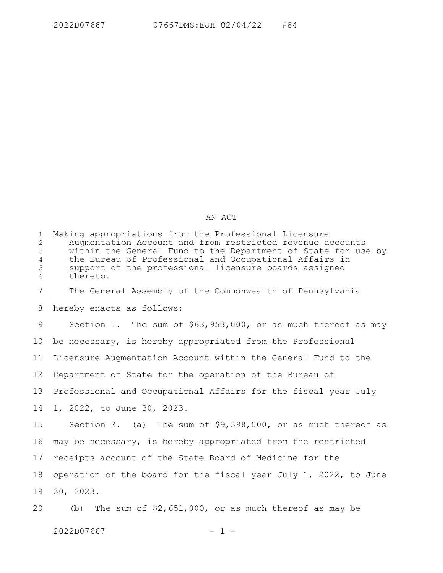## AN ACT

| $\mathbf{1}$<br>$\overline{2}$<br>$\mathcal{E}$<br>$\overline{4}$<br>5<br>6 | Making appropriations from the Professional Licensure<br>Augmentation Account and from restricted revenue accounts<br>within the General Fund to the Department of State for use by<br>the Bureau of Professional and Occupational Affairs in<br>support of the professional licensure boards assigned<br>thereto. |
|-----------------------------------------------------------------------------|--------------------------------------------------------------------------------------------------------------------------------------------------------------------------------------------------------------------------------------------------------------------------------------------------------------------|
| 7                                                                           | The General Assembly of the Commonwealth of Pennsylvania                                                                                                                                                                                                                                                           |
| 8                                                                           | hereby enacts as follows:                                                                                                                                                                                                                                                                                          |
| 9                                                                           | Section 1. The sum of \$63,953,000, or as much thereof as may                                                                                                                                                                                                                                                      |
| 10 <sub>o</sub>                                                             | be necessary, is hereby appropriated from the Professional                                                                                                                                                                                                                                                         |
| 11                                                                          | Licensure Augmentation Account within the General Fund to the                                                                                                                                                                                                                                                      |
| 12                                                                          | Department of State for the operation of the Bureau of                                                                                                                                                                                                                                                             |
| 13                                                                          | Professional and Occupational Affairs for the fiscal year July                                                                                                                                                                                                                                                     |
| 14                                                                          | 1, 2022, to June 30, 2023.                                                                                                                                                                                                                                                                                         |
| 15                                                                          | Section 2. (a) The sum of $$9,398,000$ , or as much thereof as                                                                                                                                                                                                                                                     |
| 16                                                                          | may be necessary, is hereby appropriated from the restricted                                                                                                                                                                                                                                                       |
| 17                                                                          | receipts account of the State Board of Medicine for the                                                                                                                                                                                                                                                            |
| 18                                                                          | operation of the board for the fiscal year July 1, 2022, to June                                                                                                                                                                                                                                                   |
| 19                                                                          | 30, 2023.                                                                                                                                                                                                                                                                                                          |
|                                                                             | $20$ $(b)$ The sum of $52.651.000$ experiments the reading to may be                                                                                                                                                                                                                                               |

(b) The sum of \$2,651,000, or as much thereof as may be 20